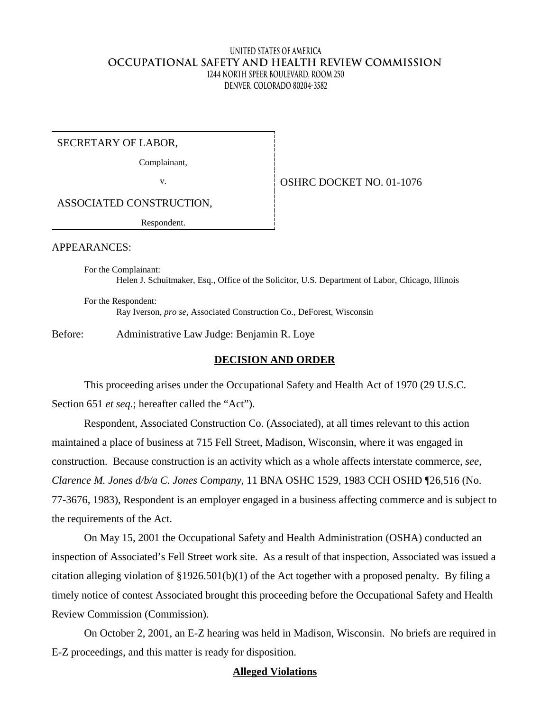## **United States of America OCCUPATIONAL SAFETY AND HEALTH REVIEW COMMISSION 1244 North Speer Boulevard, Room 250 Denver, Colorado 80204-3582**

SECRETARY OF LABOR,

Complainant,

v. Same Software School of the SSHRC DOCKET NO. 01-1076

ASSOCIATED CONSTRUCTION,

Respondent.

APPEARANCES:

For the Complainant: Helen J. Schuitmaker, Esq., Office of the Solicitor, U.S. Department of Labor, Chicago, Illinois

For the Respondent: Ray Iverson, *pro se*, Associated Construction Co., DeForest, Wisconsin

Before: Administrative Law Judge: Benjamin R. Loye

## **DECISION AND ORDER**

This proceeding arises under the Occupational Safety and Health Act of 1970 (29 U.S.C. Section 651 *et seq.*; hereafter called the "Act").

Respondent, Associated Construction Co. (Associated), at all times relevant to this action maintained a place of business at 715 Fell Street, Madison, Wisconsin, where it was engaged in construction. Because construction is an activity which as a whole affects interstate commerce, *see, Clarence M. Jones d/b/a C. Jones Company,* 11 BNA OSHC 1529, 1983 CCH OSHD ¶26,516 (No. 77-3676, 1983), Respondent is an employer engaged in a business affecting commerce and is subject to the requirements of the Act.

On May 15, 2001 the Occupational Safety and Health Administration (OSHA) conducted an inspection of Associated's Fell Street work site. As a result of that inspection, Associated was issued a citation alleging violation of  $\S 1926.501(b)(1)$  of the Act together with a proposed penalty. By filing a timely notice of contest Associated brought this proceeding before the Occupational Safety and Health Review Commission (Commission).

On October 2, 2001, an E-Z hearing was held in Madison, Wisconsin. No briefs are required in E-Z proceedings, and this matter is ready for disposition.

## **Alleged Violations**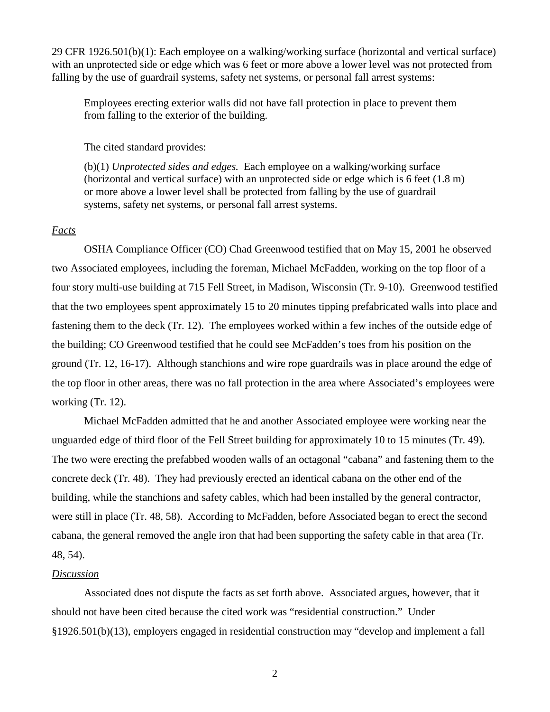29 CFR 1926.501(b)(1): Each employee on a walking/working surface (horizontal and vertical surface) with an unprotected side or edge which was 6 feet or more above a lower level was not protected from falling by the use of guardrail systems, safety net systems, or personal fall arrest systems:

Employees erecting exterior walls did not have fall protection in place to prevent them from falling to the exterior of the building.

The cited standard provides:

(b)(1) *Unprotected sides and edges.* Each employee on a walking/working surface (horizontal and vertical surface) with an unprotected side or edge which is 6 feet (1.8 m) or more above a lower level shall be protected from falling by the use of guardrail systems, safety net systems, or personal fall arrest systems.

#### *Facts*

OSHA Compliance Officer (CO) Chad Greenwood testified that on May 15, 2001 he observed two Associated employees, including the foreman, Michael McFadden, working on the top floor of a four story multi-use building at 715 Fell Street, in Madison, Wisconsin (Tr. 9-10). Greenwood testified that the two employees spent approximately 15 to 20 minutes tipping prefabricated walls into place and fastening them to the deck (Tr. 12). The employees worked within a few inches of the outside edge of the building; CO Greenwood testified that he could see McFadden's toes from his position on the ground (Tr. 12, 16-17). Although stanchions and wire rope guardrails was in place around the edge of the top floor in other areas, there was no fall protection in the area where Associated's employees were working (Tr. 12).

Michael McFadden admitted that he and another Associated employee were working near the unguarded edge of third floor of the Fell Street building for approximately 10 to 15 minutes (Tr. 49). The two were erecting the prefabbed wooden walls of an octagonal "cabana" and fastening them to the concrete deck (Tr. 48). They had previously erected an identical cabana on the other end of the building, while the stanchions and safety cables, which had been installed by the general contractor, were still in place (Tr. 48, 58). According to McFadden, before Associated began to erect the second cabana, the general removed the angle iron that had been supporting the safety cable in that area (Tr. 48, 54).

## *Discussion*

Associated does not dispute the facts as set forth above. Associated argues, however, that it should not have been cited because the cited work was "residential construction." Under §1926.501(b)(13), employers engaged in residential construction may "develop and implement a fall

2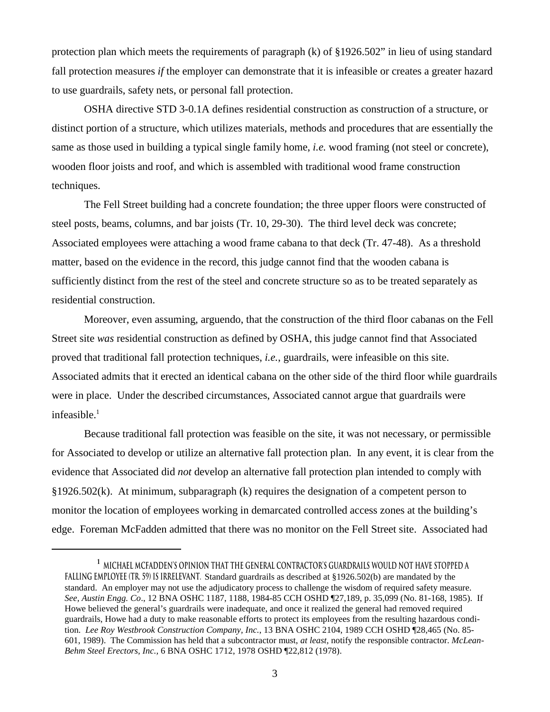protection plan which meets the requirements of paragraph (k) of §1926.502" in lieu of using standard fall protection measures *if* the employer can demonstrate that it is infeasible or creates a greater hazard to use guardrails, safety nets, or personal fall protection.

OSHA directive STD 3-0.1A defines residential construction as construction of a structure, or distinct portion of a structure, which utilizes materials, methods and procedures that are essentially the same as those used in building a typical single family home, *i.e.* wood framing (not steel or concrete), wooden floor joists and roof, and which is assembled with traditional wood frame construction techniques.

The Fell Street building had a concrete foundation; the three upper floors were constructed of steel posts, beams, columns, and bar joists (Tr. 10, 29-30). The third level deck was concrete; Associated employees were attaching a wood frame cabana to that deck (Tr. 47-48). As a threshold matter, based on the evidence in the record, this judge cannot find that the wooden cabana is sufficiently distinct from the rest of the steel and concrete structure so as to be treated separately as residential construction.

Moreover, even assuming, arguendo, that the construction of the third floor cabanas on the Fell Street site *was* residential construction as defined by OSHA, this judge cannot find that Associated proved that traditional fall protection techniques, *i.e.*, guardrails, were infeasible on this site. Associated admits that it erected an identical cabana on the other side of the third floor while guardrails were in place. Under the described circumstances, Associated cannot argue that guardrails were infeasible. 1

Because traditional fall protection was feasible on the site, it was not necessary, or permissible for Associated to develop or utilize an alternative fall protection plan. In any event, it is clear from the evidence that Associated did *not* develop an alternative fall protection plan intended to comply with  $§1926.502(k)$ . At minimum, subparagraph (k) requires the designation of a competent person to monitor the location of employees working in demarcated controlled access zones at the building's edge. Foreman McFadden admitted that there was no monitor on the Fell Street site. Associated had

**<sup>1</sup> Michael McFadden's opinion that the general contractor's guardrails would not have stopped a falling employee (Tr. 59) is irrelevant.** Standard guardrails as described at §1926.502(b) are mandated by the standard. An employer may not use the adjudicatory process to challenge the wisdom of required safety measure. *See, Austin Engg. Co*., 12 BNA OSHC 1187, 1188, 1984-85 CCH OSHD ¶27,189, p. 35,099 (No. 81-168, 1985). If Howe believed the general's guardrails were inadequate, and once it realized the general had removed required guardrails, Howe had a duty to make reasonable efforts to protect its employees from the resulting hazardous condition. *Lee Roy Westbrook Construction Company, Inc.*, 13 BNA OSHC 2104, 1989 CCH OSHD ¶28,465 (No. 85- 601, 1989). The Commission has held that a subcontractor must, *at least,* notify the responsible contractor. *McLean-Behm Steel Erectors, Inc.,* 6 BNA OSHC 1712, 1978 OSHD ¶22,812 (1978).